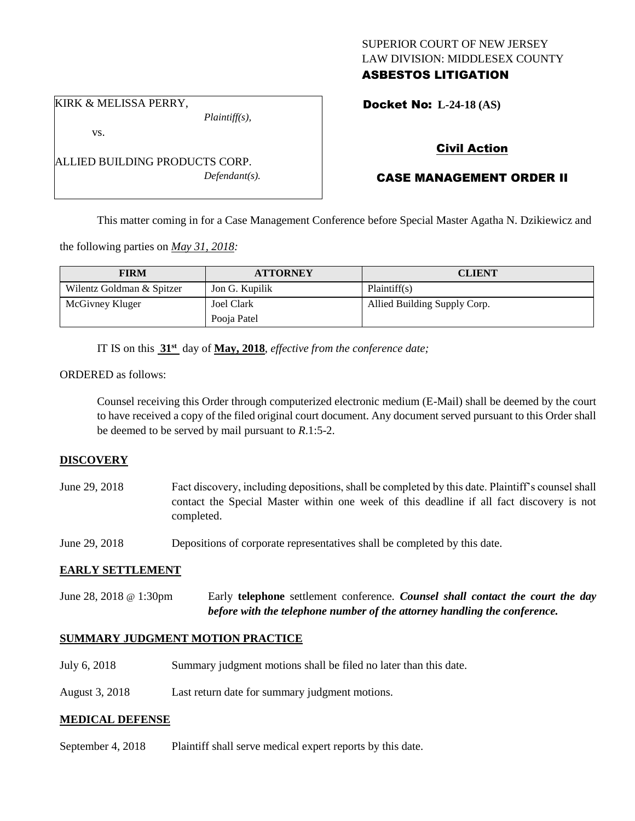# SUPERIOR COURT OF NEW JERSEY LAW DIVISION: MIDDLESEX COUNTY ASBESTOS LITIGATION

Docket No: **L-24-18 (AS)** 

KIRK & MELISSA PERRY,

vs.

*Plaintiff(s),*

*Defendant(s).*

Civil Action

# CASE MANAGEMENT ORDER II

This matter coming in for a Case Management Conference before Special Master Agatha N. Dzikiewicz and

the following parties on *May 31, 2018:*

ALLIED BUILDING PRODUCTS CORP.

| <b>FIRM</b>               | <b>ATTORNEY</b> | <b>CLIENT</b>                |
|---------------------------|-----------------|------------------------------|
| Wilentz Goldman & Spitzer | Jon G. Kupilik  | Plaintiff(s)                 |
| McGivney Kluger           | Joel Clark      | Allied Building Supply Corp. |
|                           | Pooja Patel     |                              |

IT IS on this **31st** day of **May, 2018**, *effective from the conference date;*

#### ORDERED as follows:

Counsel receiving this Order through computerized electronic medium (E-Mail) shall be deemed by the court to have received a copy of the filed original court document. Any document served pursuant to this Order shall be deemed to be served by mail pursuant to *R*.1:5-2.

## **DISCOVERY**

June 29, 2018 Fact discovery, including depositions, shall be completed by this date. Plaintiff's counsel shall contact the Special Master within one week of this deadline if all fact discovery is not completed.

June 29, 2018 Depositions of corporate representatives shall be completed by this date.

## **EARLY SETTLEMENT**

June 28, 2018 @ 1:30pm Early **telephone** settlement conference*. Counsel shall contact the court the day before with the telephone number of the attorney handling the conference.*

## **SUMMARY JUDGMENT MOTION PRACTICE**

- July 6, 2018 Summary judgment motions shall be filed no later than this date.
- August 3, 2018 Last return date for summary judgment motions.

## **MEDICAL DEFENSE**

September 4, 2018 Plaintiff shall serve medical expert reports by this date.